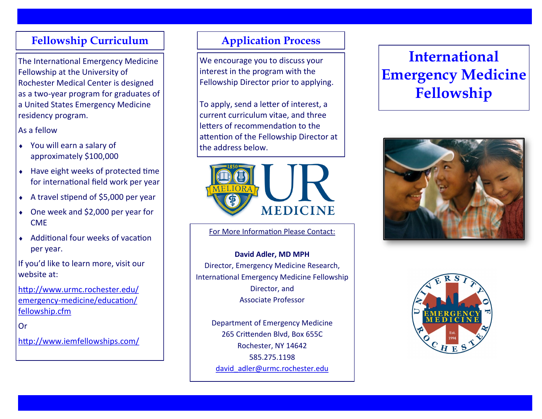#### **Fellowship Curriculum**

The International Emergency Medicine Fellowship at the University of Rochester Medical Center is designed as a two-year program for graduates of a United States Emergency Medicine residency program.

#### As a fellow

- You will earn a salary of approximately \$100,000
- $\bullet$  Have eight weeks of protected time for international field work per year
- A travel stipend of \$5,000 per year
- One week and \$2,000 per year for CME
- Additional four weeks of vacation per year.

If you'd like to learn more, visit our website at:

[http://www.urmc.rochester.edu/](http://www.urmc.rochester.edu/emergency-medicine/education/fellowship.cfm) emergency-[medicine/education/](http://www.urmc.rochester.edu/emergency-medicine/education/fellowship.cfm) [fellowship.cfm](http://www.urmc.rochester.edu/emergency-medicine/education/fellowship.cfm)

Or

#### <http://www.iemfellowships.com/>

# **Application Process**

We encourage you to discuss your interest in the program with the Fellowship Director prior to applying.

To apply, send a letter of interest, a current curriculum vitae, and three letters of recommendation to the attention of the Fellowship Director at the address below.



For More Information Please Contact:

**David Adler, MD MPH**  Director, Emergency Medicine Research, International Emergency Medicine Fellowship Director, and Associate Professor

Department of Emergency Medicine 265 Crittenden Blvd, Box 655C Rochester, NY 14642 585.275.1198 [david\\_adler@urmc.rochester.edu](mailto:david_adler@urmc.rochester.edu)

# **International Emergency Medicine Fellowship**